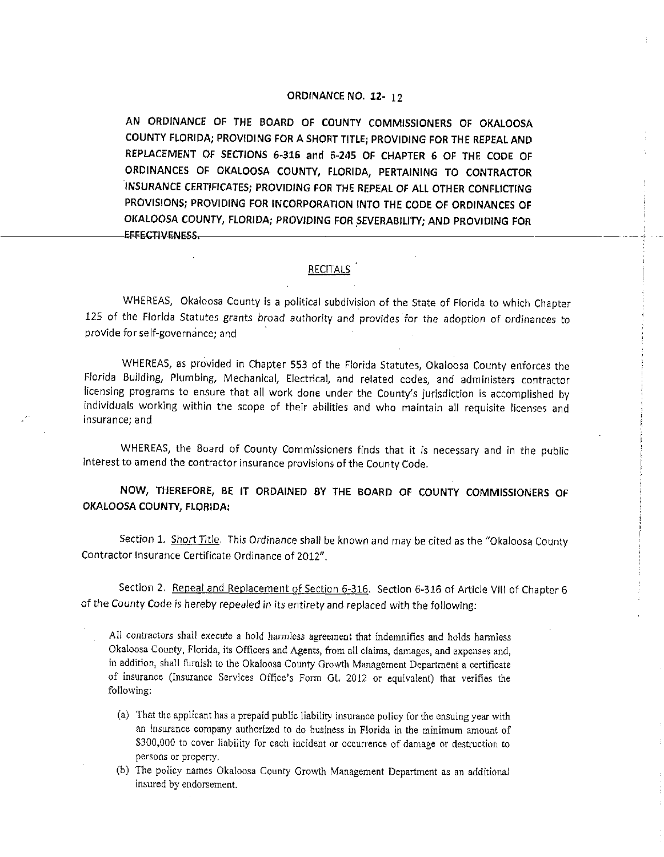## **ORDINANCE NO. 12-** 12

**AN ORDINANCE OF THE BOARO OF COUNTY COMMISSIONERS OF OKALOOSA COUNTY FLORIDA; PROVIDING FOR A SHORT TITLE; PROVIDING FOR THE REPEAL ANO REPLACEMENT OF SECTIONS 6-316 and 6-245 OF CHAPTER 6 OF THE CODE OF ORDINANCES OF OKALOOSA COUNTY, FLORIDA, PERTAINING TO CONTRACTOR INSURANCE CERTIFICATES; PROVIDING FOR THE REPEAL OF ALL OTHER CONFLICTING PROVISIONS; PROVIDING FOR INCORPORATION INTO THE CODE OF ORDINANCES OF OKALOOSA COUNTY, FLORIDA; PROVIDING FOR SEVERABILITY; AND PROVIDING FOR**<br>EFFECTIVENESS,

## RECITALS

---- -i

WHEREAS, Okaloosa County is a political subdivision of the State of Florida to which Chapter 125 of the Florida Statutes grants broad authority and provides for the adoption of ordinances to provide for self-governance; and

WHEREAS, as provided in Chapter 553 of the Florida Statutes, Okaloosa County enforces the Florida Building, Plumbing, Mechanical, Electrical, and related codes, and administers contractor licensing programs to ensure that all work done under the County's jurisdiction is accomplished by individuals working within the scope of their abilities and who maintain all requisite licenses and insurance; and

WHEREAS, the Board of County Commissioners finds that it is necessary and in the public interest to amend the contractor insurance provisions of the County Code.

**NOW, THEREFORE, BE IT ORDAINED BY THE BOARD OF COUNTY COMMISSIONERS OF OKALOOSA COUNTY, FLORIDA:** 

Section 1. Short Title. This Ordinance shall be known and may be cited as the "Okaloosa County Contractor Insurance Certificate Ordinance of 2012".

Section 2. Repeal and Replacement of Section 6-316. Section 6-316 of Article VIII of Chapter 6 of the County Code is hereby repealed in its entirety and replaced with the following:

All contractors shall execute a hold harmless agreement that indemnifies and holds hannless Okaloosa County, Florida, its Officers and Agents, from all claims, damages, and expenses and, in addition, shall furnish to the Okaloosa County Growth Management Department a certificate of insurance (Insurance Services Office's Form GL 2012 or equivalent) that verifies the following:

- (a) That the applicant has a prepaid public liability insurance policy for the ensuing year with an insurance company authorized to do business in Florida in the minimum amount of \$300,000 to cover liability for each incident or occurrence of damage or destruction to persons or property.
- (b) The policy names Okaloosa County Growth Management Department as an additional **in.sured by endorsement.**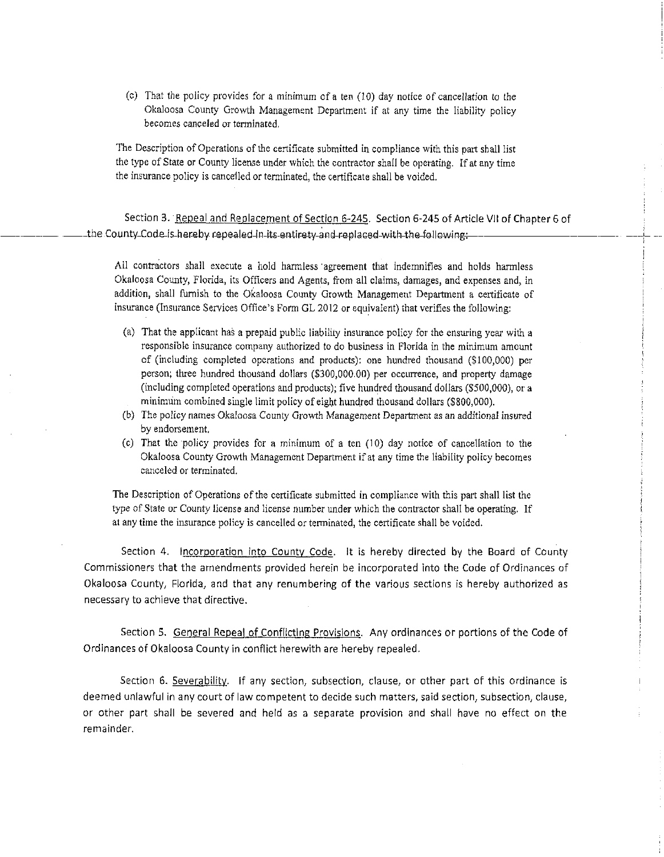(c) That the policy provides for a minimum ofa ten (10) day notice of cancellation to the Okaloosa County Growth Management Department if at any time the liability policy **becomes canceled or tenninated.** 

The Description of Operations of the certificate submitted in compliance with this part shall list the type of State or County license under which the contractor shall be operating. lf at any time the insurance policy is cancelled or terminated, the certificate shall be voided.

Section 3. Repeal and Replacement of Section 6-245. Section 6-245 of Article VII of Chapter 6 of the County Code-is-hereby repealed-in-its-entirety-and-replaced-with-the-following:

-----!-

All contractors shall execute a hold harmless ·agreement that indemnifies and holds harmless Okaloosa County, Florida, its Officers and Agents, from all claims, damages, and expenses and, in addition, shall furnish to the Okaloosa County Growth Management Department a certificate of insurance (Insurance Services Office's Fonn GL 2012 or equivalent) that verifies the following:

- (a) That the applicant has a prepaid public liability insurance policy for the ensuring year with a **responsible insurance company authorized to do business in Florida in the minimum amount**  of (including completed operations and products): one hundred thousand (\$100,000) per person; three hundred thousand dollars (\$300,000.00) per occurrence, and property damage (including completed operations and products); five hundred thousand dollars (\$500,000), or a minimum combined single limit policy of eight hundred thousand dollars (\$800,000).
- (b) The policy names Okaloosa County Growth Management Department as an additional insured by endorsement.
- $(c)$  That the policy provides for a minimum of a ten  $(10)$  day notice of cancellation to the Okaloosa County Growth Management Department if at any time the liability policy becomes **canceled or terminated.**

The Description of Operations of the certificate submitted in compliance with this part shall list the type of State or County license and license number under which the contractor shall be operating. If at any time the insurance policy is cancelled or terminated, the certificate shall be voided.

Section 4. Incorporation into County Code. It is hereby directed by the Board of County Commissioners that the amendments provided herein be incorporated into the Code of Ordinances of Okaloosa County, Florida, and that any renumbering of the various sections is hereby authorized as necessary to achieve that directive.

Section 5. General Repeal of Conflicting Provisions. Any ordinances or portions of the Code of Ordinances of Okaloosa County in conflict herewith are hereby repealed.

Section 6. Severability. If any section, subsection, clause, or other part of this ordinance is deemed unlawful in any court of law competent to decide such matters, said section, subsection, clause, or other part shall be severed and held as a separate provision and shall have no effect on the remainder.